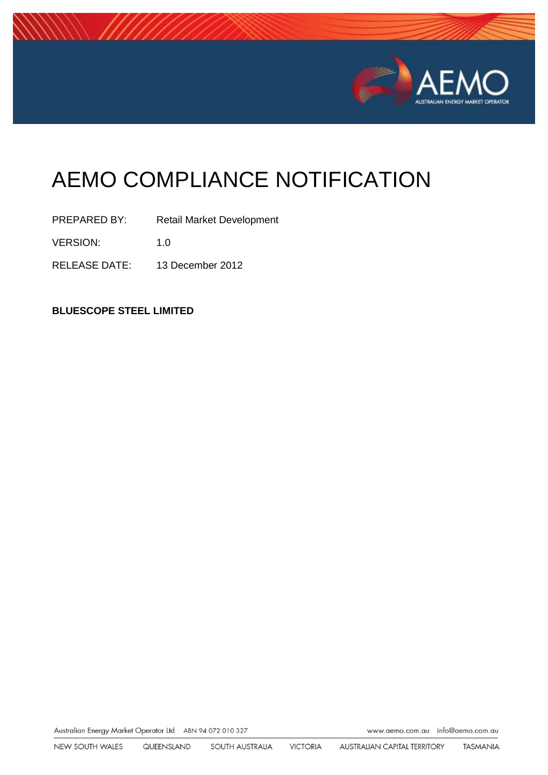

# AEMO COMPLIANCE NOTIFICATION

PREPARED BY: Retail Market Development

VERSION: 1.0

RELEASE DATE: 13 December 2012

**BLUESCOPE STEEL LIMITED**

Australian Energy Market Operator Ltd ABN 94 072 010 327

www.aemo.com.au info@aemo.com.au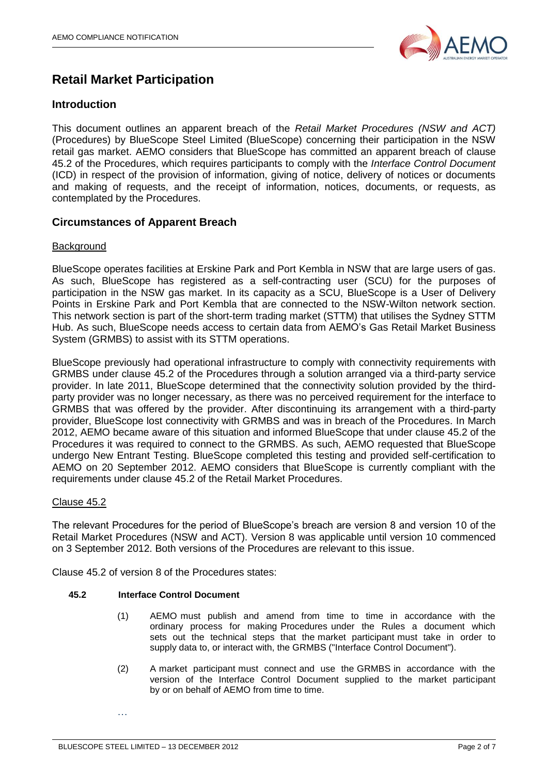

# **Retail Market Participation**

# **Introduction**

This document outlines an apparent breach of the *Retail Market Procedures (NSW and ACT)* (Procedures) by BlueScope Steel Limited (BlueScope) concerning their participation in the NSW retail gas market. AEMO considers that BlueScope has committed an apparent breach of clause 45.2 of the Procedures, which requires participants to comply with the *Interface Control Document* (ICD) in respect of the provision of information, giving of notice, delivery of notices or documents and making of requests, and the receipt of information, notices, documents, or requests, as contemplated by the Procedures.

# **Circumstances of Apparent Breach**

# **Background**

BlueScope operates facilities at Erskine Park and Port Kembla in NSW that are large users of gas. As such, BlueScope has registered as a self-contracting user (SCU) for the purposes of participation in the NSW gas market. In its capacity as a SCU, BlueScope is a User of Delivery Points in Erskine Park and Port Kembla that are connected to the NSW-Wilton network section. This network section is part of the short-term trading market (STTM) that utilises the Sydney STTM Hub. As such, BlueScope needs access to certain data from AEMO's Gas Retail Market Business System (GRMBS) to assist with its STTM operations.

BlueScope previously had operational infrastructure to comply with connectivity requirements with GRMBS under clause 45.2 of the Procedures through a solution arranged via a third-party service provider. In late 2011, BlueScope determined that the connectivity solution provided by the thirdparty provider was no longer necessary, as there was no perceived requirement for the interface to GRMBS that was offered by the provider. After discontinuing its arrangement with a third-party provider, BlueScope lost connectivity with GRMBS and was in breach of the Procedures. In March 2012, AEMO became aware of this situation and informed BlueScope that under clause 45.2 of the Procedures it was required to connect to the GRMBS. As such, AEMO requested that BlueScope undergo New Entrant Testing. BlueScope completed this testing and provided self-certification to AEMO on 20 September 2012. AEMO considers that BlueScope is currently compliant with the requirements under clause 45.2 of the Retail Market Procedures.

# Clause 45.2

The relevant Procedures for the period of BlueScope's breach are version 8 and version 10 of the Retail Market Procedures (NSW and ACT). Version 8 was applicable until version 10 commenced on 3 September 2012. Both versions of the Procedures are relevant to this issue.

Clause 45.2 of version 8 of the Procedures states:

# **45.2 Interface Control Document**

- (1) AEMO must publish and amend from time to time in accordance with the ordinary process for making Procedures under the Rules a document which sets out the technical steps that the market participant must take in order to supply data to, or interact with, the GRMBS ("Interface Control Document").
- (2) A market participant must connect and use the GRMBS in accordance with the version of the Interface Control Document supplied to the market participant by or on behalf of AEMO from time to time.

…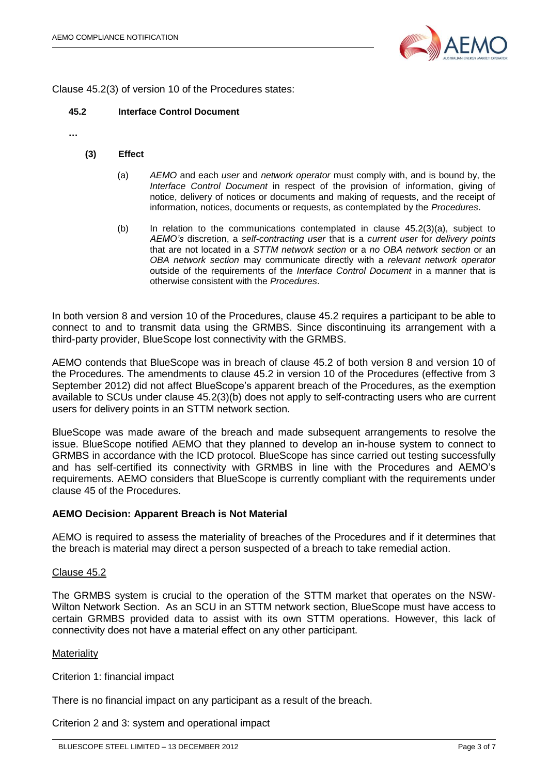

Clause 45.2(3) of version 10 of the Procedures states:

#### **45.2 Interface Control Document**

**…**

#### **(3) Effect**

- (a) *AEMO* and each *user* and *network operator* must comply with, and is bound by, the *Interface Control Document* in respect of the provision of information, giving of notice, delivery of notices or documents and making of requests, and the receipt of information, notices, documents or requests, as contemplated by the *Procedures*.
- (b) In relation to the communications contemplated in clause 45.2(3)(a), subject to *AEMO's* discretion, a *self-contracting user* that is a *current user* for *delivery points* that are not located in a *STTM network section* or a *no OBA network section* or an *OBA network section* may communicate directly with a *relevant network operator* outside of the requirements of the *Interface Control Document* in a manner that is otherwise consistent with the *Procedures*.

In both version 8 and version 10 of the Procedures, clause 45.2 requires a participant to be able to connect to and to transmit data using the GRMBS. Since discontinuing its arrangement with a third-party provider, BlueScope lost connectivity with the GRMBS.

AEMO contends that BlueScope was in breach of clause 45.2 of both version 8 and version 10 of the Procedures. The amendments to clause 45.2 in version 10 of the Procedures (effective from 3 September 2012) did not affect BlueScope's apparent breach of the Procedures, as the exemption available to SCUs under clause 45.2(3)(b) does not apply to self-contracting users who are current users for delivery points in an STTM network section.

BlueScope was made aware of the breach and made subsequent arrangements to resolve the issue. BlueScope notified AEMO that they planned to develop an in-house system to connect to GRMBS in accordance with the ICD protocol. BlueScope has since carried out testing successfully and has self-certified its connectivity with GRMBS in line with the Procedures and AEMO's requirements. AEMO considers that BlueScope is currently compliant with the requirements under clause 45 of the Procedures.

#### **AEMO Decision: Apparent Breach is Not Material**

AEMO is required to assess the materiality of breaches of the Procedures and if it determines that the breach is material may direct a person suspected of a breach to take remedial action.

#### Clause 45.2

The GRMBS system is crucial to the operation of the STTM market that operates on the NSW-Wilton Network Section. As an SCU in an STTM network section, BlueScope must have access to certain GRMBS provided data to assist with its own STTM operations. However, this lack of connectivity does not have a material effect on any other participant.

#### **Materiality**

Criterion 1: financial impact

There is no financial impact on any participant as a result of the breach.

Criterion 2 and 3: system and operational impact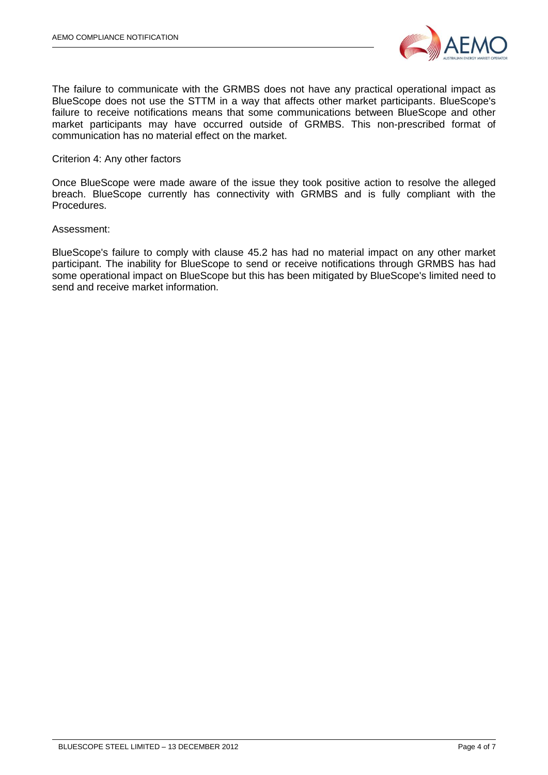

The failure to communicate with the GRMBS does not have any practical operational impact as BlueScope does not use the STTM in a way that affects other market participants. BlueScope's failure to receive notifications means that some communications between BlueScope and other market participants may have occurred outside of GRMBS. This non-prescribed format of communication has no material effect on the market.

# Criterion 4: Any other factors

Once BlueScope were made aware of the issue they took positive action to resolve the alleged breach. BlueScope currently has connectivity with GRMBS and is fully compliant with the Procedures.

#### Assessment:

BlueScope's failure to comply with clause 45.2 has had no material impact on any other market participant. The inability for BlueScope to send or receive notifications through GRMBS has had some operational impact on BlueScope but this has been mitigated by BlueScope's limited need to send and receive market information.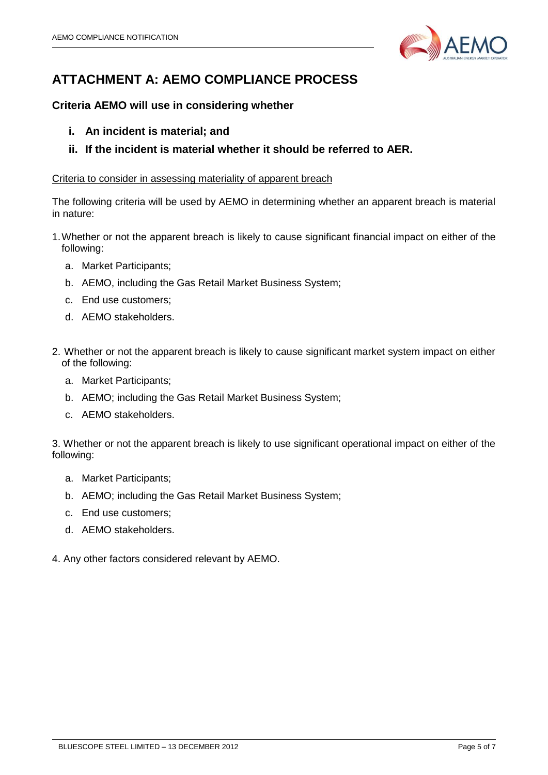

# **ATTACHMENT A: AEMO COMPLIANCE PROCESS**

# **Criteria AEMO will use in considering whether**

- **i. An incident is material; and**
- **ii. If the incident is material whether it should be referred to AER.**

# Criteria to consider in assessing materiality of apparent breach

The following criteria will be used by AEMO in determining whether an apparent breach is material in nature:

- 1.Whether or not the apparent breach is likely to cause significant financial impact on either of the following:
	- a. Market Participants;
	- b. AEMO, including the Gas Retail Market Business System;
	- c. End use customers;
	- d. AEMO stakeholders.
- 2. Whether or not the apparent breach is likely to cause significant market system impact on either of the following:
	- a. Market Participants;
	- b. AEMO; including the Gas Retail Market Business System;
	- c. AEMO stakeholders.

3. Whether or not the apparent breach is likely to use significant operational impact on either of the following:

- a. Market Participants;
- b. AEMO; including the Gas Retail Market Business System;
- c. End use customers;
- d. AEMO stakeholders.
- 4. Any other factors considered relevant by AEMO.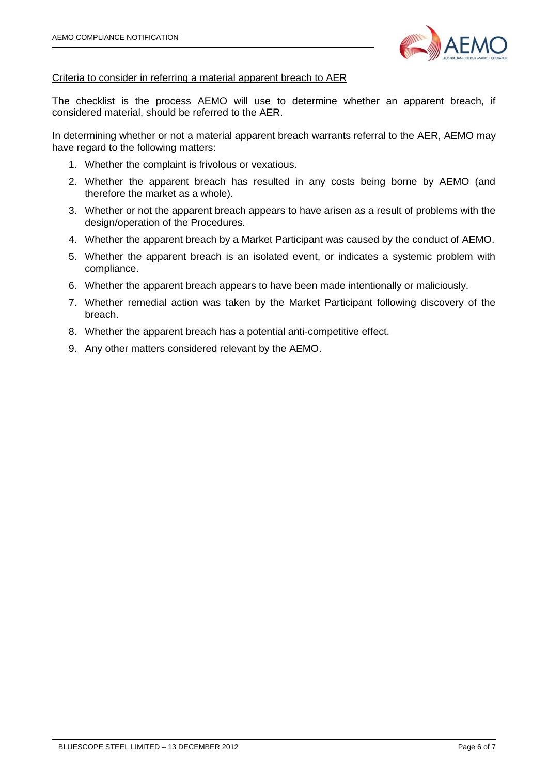

## Criteria to consider in referring a material apparent breach to AER

The checklist is the process AEMO will use to determine whether an apparent breach, if considered material, should be referred to the AER.

In determining whether or not a material apparent breach warrants referral to the AER, AEMO may have regard to the following matters:

- 1. Whether the complaint is frivolous or vexatious.
- 2. Whether the apparent breach has resulted in any costs being borne by AEMO (and therefore the market as a whole).
- 3. Whether or not the apparent breach appears to have arisen as a result of problems with the design/operation of the Procedures.
- 4. Whether the apparent breach by a Market Participant was caused by the conduct of AEMO.
- 5. Whether the apparent breach is an isolated event, or indicates a systemic problem with compliance.
- 6. Whether the apparent breach appears to have been made intentionally or maliciously.
- 7. Whether remedial action was taken by the Market Participant following discovery of the breach.
- 8. Whether the apparent breach has a potential anti-competitive effect.
- 9. Any other matters considered relevant by the AEMO.